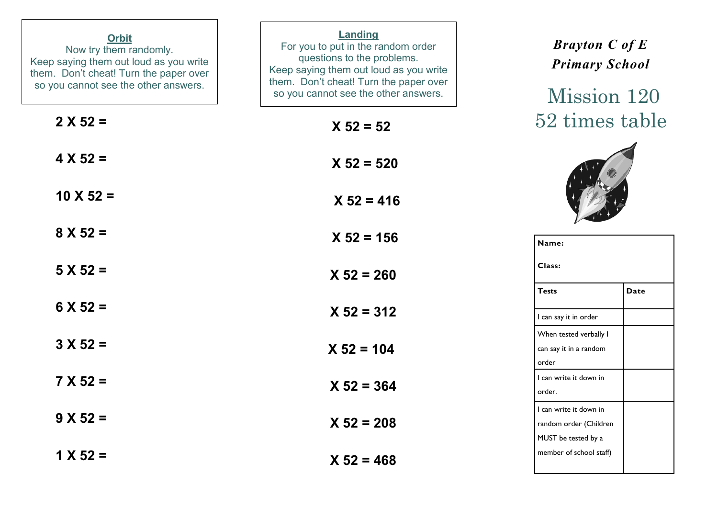| <b>Orbit</b><br>Now try them randomly.<br>Keep saying them out loud as you write<br>them. Don't cheat! Turn the paper over<br>so you cannot see the other answers. | <b>Landing</b><br>For you to put in the random order<br>questions to the problems.<br>Keep saying them out loud as you write<br>them. Don't cheat! Turn the paper over<br>so you cannot see the other answers. | <b>Brayton C of E</b><br><b>Primary School</b><br>Mission 120           |
|--------------------------------------------------------------------------------------------------------------------------------------------------------------------|----------------------------------------------------------------------------------------------------------------------------------------------------------------------------------------------------------------|-------------------------------------------------------------------------|
| $2 X 52 =$                                                                                                                                                         | $X 52 = 52$                                                                                                                                                                                                    | 52 times table                                                          |
| $4 X 52 =$                                                                                                                                                         | $X 52 = 520$                                                                                                                                                                                                   |                                                                         |
| $10 \times 52 =$                                                                                                                                                   | $X 52 = 416$                                                                                                                                                                                                   |                                                                         |
| $8 X 52 =$                                                                                                                                                         | $X 52 = 156$                                                                                                                                                                                                   | Name:                                                                   |
| $5 X 52 =$                                                                                                                                                         | $X 52 = 260$                                                                                                                                                                                                   | Class:                                                                  |
| $6 X 52 =$                                                                                                                                                         | $X 52 = 312$                                                                                                                                                                                                   | Date<br><b>Tests</b><br>I can say it in order                           |
| $3 X 52 =$                                                                                                                                                         | $X 52 = 104$                                                                                                                                                                                                   | When tested verbally I<br>can say it in a random<br>order               |
| $7 X 52 =$                                                                                                                                                         | $X 52 = 364$                                                                                                                                                                                                   | I can write it down in<br>order.                                        |
| $9 X 52 =$                                                                                                                                                         | $X 52 = 208$                                                                                                                                                                                                   | I can write it down in<br>random order (Children<br>MUST be tested by a |
| $1 X 52 =$                                                                                                                                                         | $X 52 = 468$                                                                                                                                                                                                   | member of school staff)                                                 |